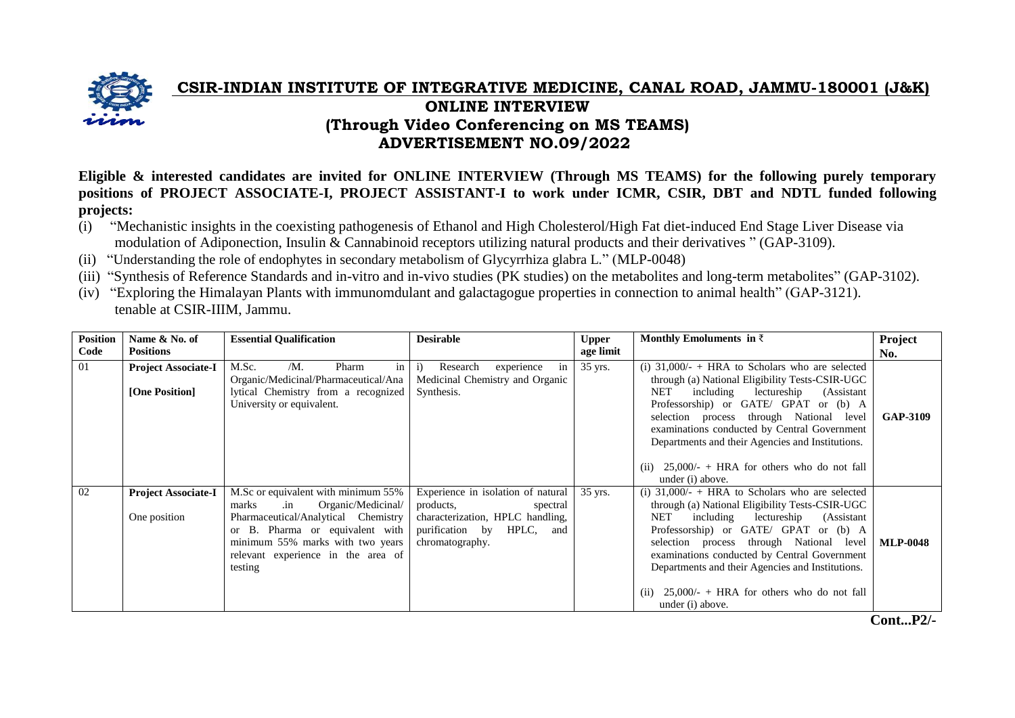

## **CSIR-INDIAN INSTITUTE OF INTEGRATIVE MEDICINE, CANAL ROAD, JAMMU-180001 (J&K) ONLINE INTERVIEW (Through Video Conferencing on MS TEAMS) ADVERTISEMENT NO.09/2022**

**Eligible & interested candidates are invited for ONLINE INTERVIEW (Through MS TEAMS) for the following purely temporary positions of PROJECT ASSOCIATE-I, PROJECT ASSISTANT-I to work under ICMR, CSIR, DBT and NDTL funded following projects:**

- (i) "Mechanistic insights in the coexisting pathogenesis of Ethanol and High Cholesterol/High Fat diet-induced End Stage Liver Disease via modulation of Adiponection, Insulin & Cannabinoid receptors utilizing natural products and their derivatives " (GAP-3109).
- (ii) "Understanding the role of endophytes in secondary metabolism of Glycyrrhiza glabra L." (MLP-0048)
- (iii) "Synthesis of Reference Standards and in-vitro and in-vivo studies (PK studies) on the metabolites and long-term metabolites" (GAP-3102).
- (iv) "Exploring the Himalayan Plants with immunomdulant and galactagogue properties in connection to animal health" (GAP-3121). tenable at CSIR-IIIM, Jammu.

| <b>Position</b> | Name & No. of                                | <b>Essential Qualification</b>                                                                                                                                                                                                                  | <b>Desirable</b>                                                                                                                                   | <b>Upper</b> | Monthly Emoluments in $\bar{z}$                                                                                                                                                                                                                                                                                                                                                                                                                                                                     | Project         |
|-----------------|----------------------------------------------|-------------------------------------------------------------------------------------------------------------------------------------------------------------------------------------------------------------------------------------------------|----------------------------------------------------------------------------------------------------------------------------------------------------|--------------|-----------------------------------------------------------------------------------------------------------------------------------------------------------------------------------------------------------------------------------------------------------------------------------------------------------------------------------------------------------------------------------------------------------------------------------------------------------------------------------------------------|-----------------|
| Code            | <b>Positions</b>                             |                                                                                                                                                                                                                                                 |                                                                                                                                                    | age limit    |                                                                                                                                                                                                                                                                                                                                                                                                                                                                                                     | No.             |
| 01              | <b>Project Associate-I</b><br>[One Position] | M.Sc.<br>$/M$ .<br>in<br>Pharm<br>Organic/Medicinal/Pharmaceutical/Ana<br>lytical Chemistry from a recognized<br>University or equivalent.                                                                                                      | experience<br>$\ddot{1}$<br>Research<br>in<br>Medicinal Chemistry and Organic<br>Synthesis.                                                        | 35 yrs.      | (i) $31,000/$ - + HRA to Scholars who are selected<br>through (a) National Eligibility Tests-CSIR-UGC<br>NET<br>including<br>lectureship<br>(Assistant)<br>Professorship) or GATE/ GPAT or (b) A<br>selection process through National level<br>examinations conducted by Central Government<br>Departments and their Agencies and Institutions.                                                                                                                                                    | <b>GAP-3109</b> |
| 02              | <b>Project Associate-I</b><br>One position   | M.Sc or equivalent with minimum 55%<br>marks<br>Organic/Medicinal/<br>$\cdot$ in<br>Pharmaceutical/Analytical Chemistry<br>or B. Pharma or equivalent with<br>minimum 55% marks with two years<br>relevant experience in the area of<br>testing | Experience in isolation of natural<br>products,<br>spectral<br>characterization, HPLC handling,<br>purification by HPLC,<br>and<br>chromatography. | 35 yrs.      | $25,000/$ - + HRA for others who do not fall<br>(ii)<br>under (i) above.<br>(i) $31,000/-$ + HRA to Scholars who are selected<br>through (a) National Eligibility Tests-CSIR-UGC<br>NET<br>including lectureship<br>(Assistant<br>Professorship) or GATE/ GPAT or (b) A<br>selection process through National level<br>examinations conducted by Central Government<br>Departments and their Agencies and Institutions.<br>$25,000/$ - + HRA for others who do not fall<br>(ii)<br>under (i) above. | <b>MLP-0048</b> |

**Cont...P2/-**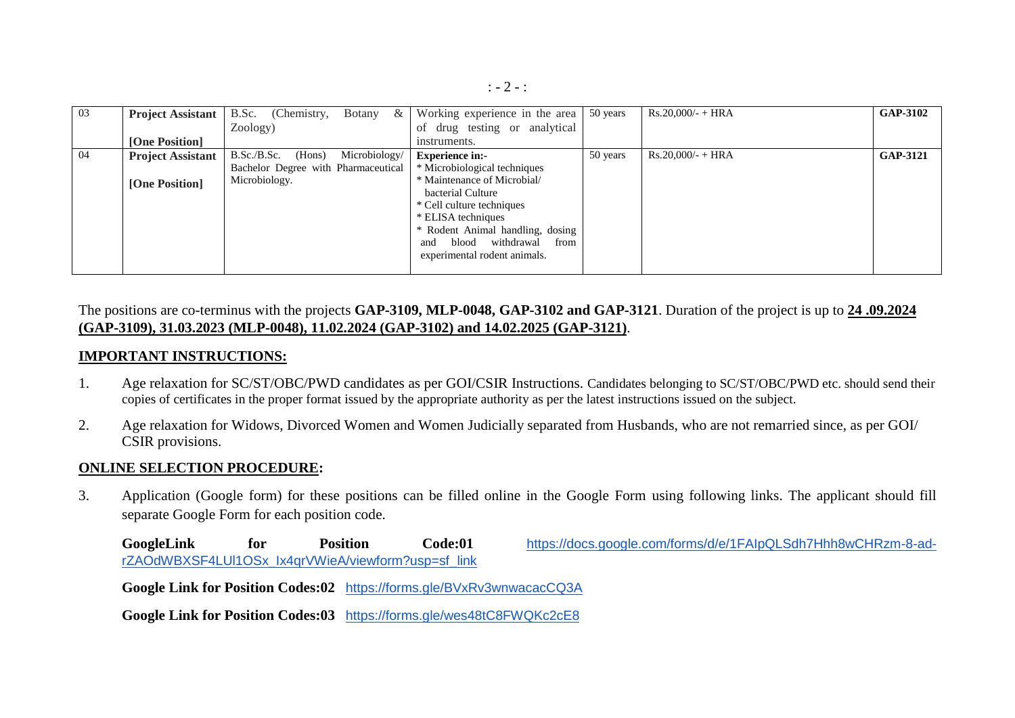| 03 | <b>Project Assistant</b> | B.Sc.<br>Botany $\&$<br>(Chemistry,    | Working experience in the area     | 50 years | $Rs.20,000/- + HRA$ | <b>GAP-3102</b> |
|----|--------------------------|----------------------------------------|------------------------------------|----------|---------------------|-----------------|
|    |                          | Zoology)                               | of drug testing or analytical      |          |                     |                 |
|    | [One Position]           |                                        | instruments.                       |          |                     |                 |
| 04 | <b>Project Assistant</b> | B.Sc./B.Sc.<br>Microbiology/<br>(Hons) | <b>Experience in:-</b>             | 50 years | $Rs.20,000/ - HRA$  | <b>GAP-3121</b> |
|    |                          | Bachelor Degree with Pharmaceutical    | * Microbiological techniques       |          |                     |                 |
|    | [One Position]           | Microbiology.                          | * Maintenance of Microbial/        |          |                     |                 |
|    |                          |                                        | bacterial Culture                  |          |                     |                 |
|    |                          |                                        | * Cell culture techniques          |          |                     |                 |
|    |                          |                                        | * ELISA techniques                 |          |                     |                 |
|    |                          |                                        | * Rodent Animal handling, dosing   |          |                     |                 |
|    |                          |                                        | withdrawal<br>blood<br>from<br>and |          |                     |                 |
|    |                          |                                        | experimental rodent animals.       |          |                     |                 |
|    |                          |                                        |                                    |          |                     |                 |

The positions are co-terminus with the projects **GAP-3109, MLP-0048, GAP-3102 and GAP-3121**. Duration of the project is up to **24 .09.2024 (GAP-3109), 31.03.2023 (MLP-0048), 11.02.2024 (GAP-3102) and 14.02.2025 (GAP-3121)**.

## **IMPORTANT INSTRUCTIONS:**

- 1. Age relaxation for SC/ST/OBC/PWD candidates as per GOI/CSIR Instructions. Candidates belonging to SC/ST/OBC/PWD etc. should send their copies of certificates in the proper format issued by the appropriate authority as per the latest instructions issued on the subject.
- 2. Age relaxation for Widows, Divorced Women and Women Judicially separated from Husbands, who are not remarried since, as per GOI/ CSIR provisions.

## **ONLINE SELECTION PROCEDURE:**

3. Application (Google form) for these positions can be filled online in the Google Form using following links. The applicant should fill separate Google Form for each position code.

GoogleLink for Position Code:01 [https://docs.google.com/forms/d/e/1FAIpQLSdh7Hhh8wCHRzm-8-ad](https://docs.google.com/forms/d/e/1FAIpQLSdh7Hhh8wCHRzm-8-ad-rZAOdWBXSF4LUl1OSx_Ix4qrVWieA/viewform?usp=sf_link)[rZAOdWBXSF4LUl1OSx\\_Ix4qrVWieA/viewform?usp=sf\\_link](https://docs.google.com/forms/d/e/1FAIpQLSdh7Hhh8wCHRzm-8-ad-rZAOdWBXSF4LUl1OSx_Ix4qrVWieA/viewform?usp=sf_link)

**Google Link for Position Codes:02** <https://forms.gle/BVxRv3wnwacacCQ3A>

**Google Link for Position Codes:03** <https://forms.gle/wes48tC8FWQKc2cE8>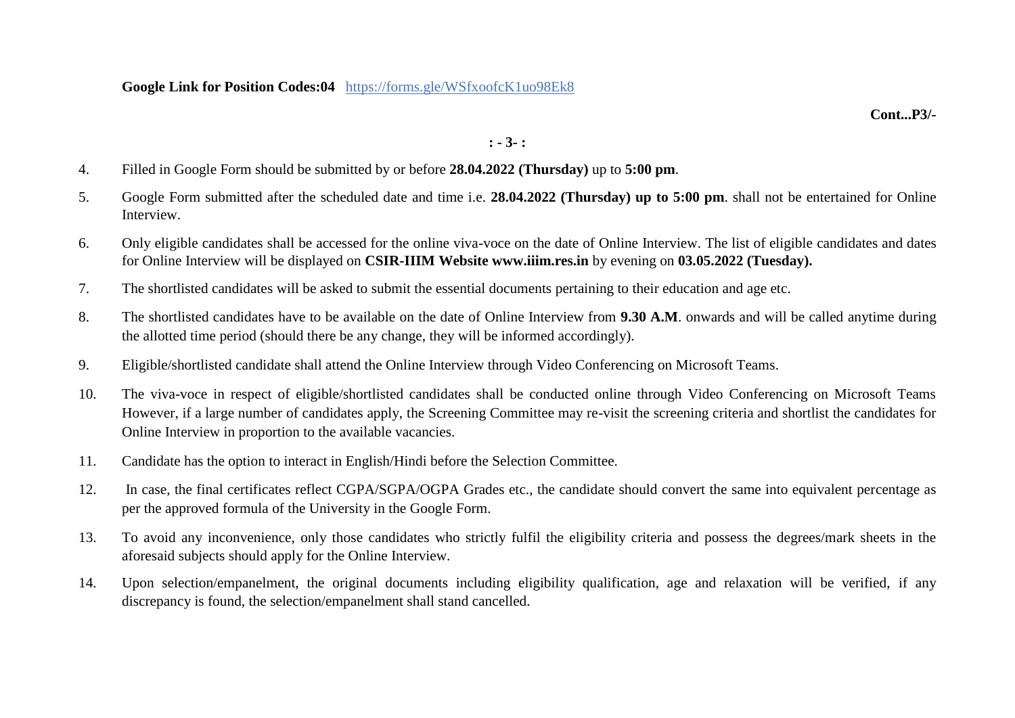**Google Link for Position Codes:04** https://forms.gle/WSfxoofcK1uo98Ek8

**Cont...P3/-**

## **: - 3- :**

- 4. Filled in Google Form should be submitted by or before **28.04.2022 (Thursday)** up to **5:00 pm**.
- 5. Google Form submitted after the scheduled date and time i.e. **28.04.2022 (Thursday) up to 5:00 pm**. shall not be entertained for Online Interview.
- 6. Only eligible candidates shall be accessed for the online viva-voce on the date of Online Interview. The list of eligible candidates and dates for Online Interview will be displayed on **CSIR-IIIM Website www.iiim.res.in** by evening on **03.05.2022 (Tuesday).**
- 7. The shortlisted candidates will be asked to submit the essential documents pertaining to their education and age etc.
- 8. The shortlisted candidates have to be available on the date of Online Interview from **9.30 A.M**. onwards and will be called anytime during the allotted time period (should there be any change, they will be informed accordingly).
- 9. Eligible/shortlisted candidate shall attend the Online Interview through Video Conferencing on Microsoft Teams.
- 10. The viva-voce in respect of eligible/shortlisted candidates shall be conducted online through Video Conferencing on Microsoft Teams However, if a large number of candidates apply, the Screening Committee may re-visit the screening criteria and shortlist the candidates for Online Interview in proportion to the available vacancies.
- 11. Candidate has the option to interact in English/Hindi before the Selection Committee.
- 12. In case, the final certificates reflect CGPA/SGPA/OGPA Grades etc., the candidate should convert the same into equivalent percentage as per the approved formula of the University in the Google Form.
- 13. To avoid any inconvenience, only those candidates who strictly fulfil the eligibility criteria and possess the degrees/mark sheets in the aforesaid subjects should apply for the Online Interview.
- 14. Upon selection/empanelment, the original documents including eligibility qualification, age and relaxation will be verified, if any discrepancy is found, the selection/empanelment shall stand cancelled.